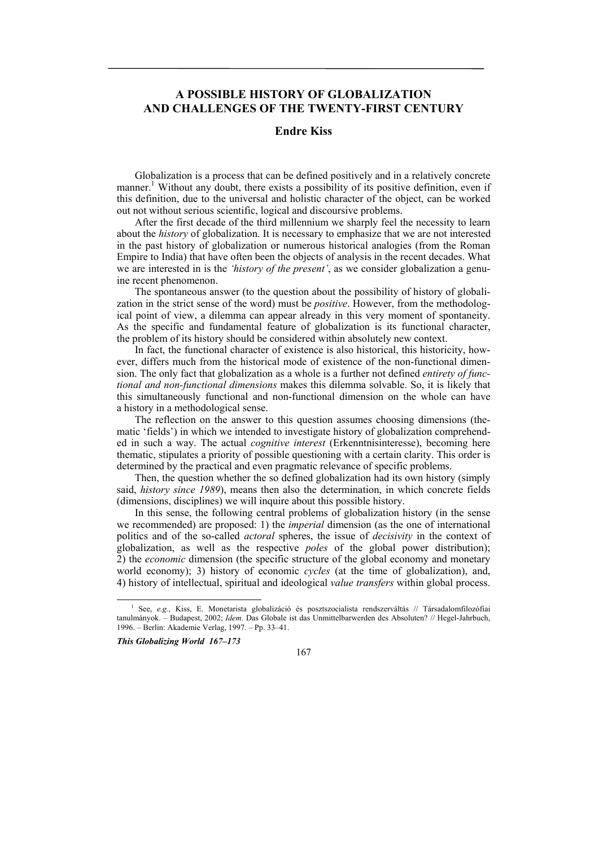# **A POSSIBLE HISTORY OF GLOBALIZATION AND CHALLENGES OF THE TWENTY-FIRST CENTURY**

### **Endre Kiss**

Globalization is a process that can be defined positively and in a relatively concrete manner.<sup>1</sup> Without any doubt, there exists a possibility of its positive definition, even if this definition, due to the universal and holistic character of the object, can be worked out not without serious scientific, logical and discoursive problems.

After the first decade of the third millennium we sharply feel the necessity to learn about the *history* of globalization. It is necessary to emphasize that we are not interested in the past history of globalization or numerous historical analogies (from the Roman Empire to India) that have often been the objects of analysis in the recent decades. What we are interested in is the *'history of the present'*, as we consider globalization a genuine recent phenomenon.

The spontaneous answer (to the question about the possibility of history of globalization in the strict sense of the word) must be *positive*. However, from the methodological point of view, a dilemma can appear already in this very moment of spontaneity. As the specific and fundamental feature of globalization is its functional character, the problem of its history should be considered within absolutely new context.

In fact, the functional character of existence is also historical, this historicity, however, differs much from the historical mode of existence of the non-functional dimension. The only fact that globalization as a whole is a further not defined *entirety of functional and non-functional dimensions* makes this dilemma solvable. So, it is likely that this simultaneously functional and non-functional dimension on the whole can have a history in a methodological sense.

The reflection on the answer to this question assumes choosing dimensions (thematic 'fields') in which we intended to investigate history of globalization comprehended in such a way. The actual *cognitive interest* (Erkenntnisinteresse), becoming here thematic, stipulates a priority of possible questioning with a certain clarity. This order is determined by the practical and even pragmatic relevance of specific problems.

Then, the question whether the so defined globalization had its own history (simply said, *history since 1989*), means then also the determination, in which concrete fields (dimensions, disciplines) we will inquire about this possible history.

In this sense, the following central problems of globalization history (in the sense we recommended) are proposed: 1) the *imperial* dimension (as the one of international politics and of the so-called *actoral* spheres, the issue of *decisivity* in the context of globalization, as well as the respective *poles* of the global power distribution); 2) the *economic* dimension (the specific structure of the global economy and monetary world economy); 3) history of economic *cycles* (at the time of globalization), and, 4) history of intellectual, spiritual and ideological *value transfers* within global process.

*This Globalizing World 167–173* 

167

 <sup>1</sup> See, *e.g.*, Kiss, E. Monetarista globalizáció és posztszocialista rendszerváltás // Társadalomfilozófiai tanulmányok. – Budapest, 2002; *Idem*. Das Globale ist das Unmittelbarwerden des Absoluten? // Hegel-Jahrbuch, 1996. – Berlin: Akademie Verlag, 1997. – Pp. 33–41.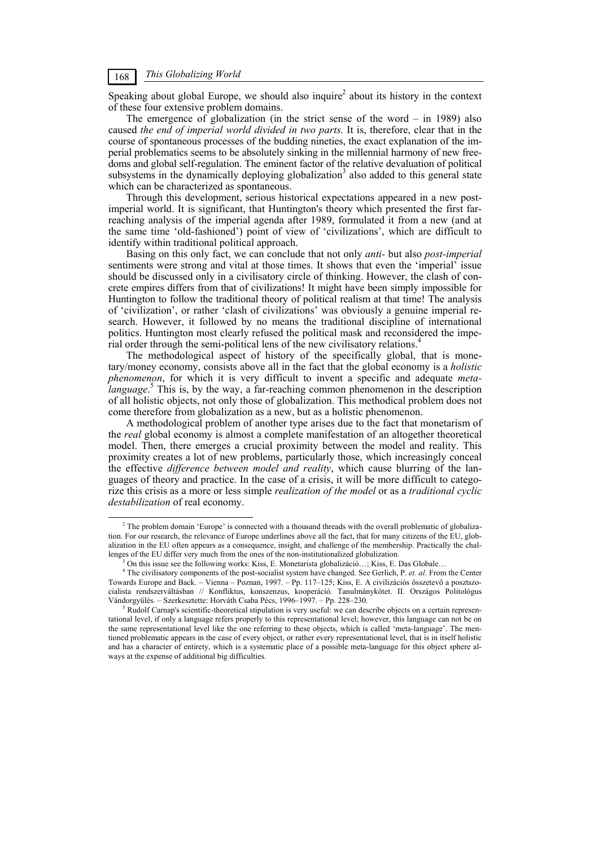#### *This Globalizing World* 168

Speaking about global Europe, we should also inquire<sup>2</sup> about its history in the context of these four extensive problem domains.

The emergence of globalization (in the strict sense of the word – in 1989) also caused *the end of imperial world divided in two parts.* It is, therefore, clear that in the course of spontaneous processes of the budding nineties, the exact explanation of the imperial problematics seems to be absolutely sinking in the millennial harmony of new freedoms and global self-regulation. The eminent factor of the relative devaluation of political subsystems in the dynamically deploying globalization<sup>3</sup> also added to this general state which can be characterized as spontaneous.

Through this development, serious historical expectations appeared in a new postimperial world. It is significant, that Huntington's theory which presented the first farreaching analysis of the imperial agenda after 1989, formulated it from a new (and at the same time 'old-fashioned') point of view of 'civilizations', which are difficult to identify within traditional political approach.

Basing on this only fact, we can conclude that not only *anti-* but also *post-imperial*  sentiments were strong and vital at those times. It shows that even the 'imperial' issue should be discussed only in a civilisatory circle of thinking. However, the clash of concrete empires differs from that of civilizations! It might have been simply impossible for Huntington to follow the traditional theory of political realism at that time! The analysis of 'civilization', or rather 'clash of civilizations' was obviously a genuine imperial research. However, it followed by no means the traditional discipline of international politics. Huntington most clearly refused the political mask and reconsidered the imperial order through the semi-political lens of the new civilisatory relations.<sup>4</sup>

The methodological aspect of history of the specifically global, that is monetary/money economy, consists above all in the fact that the global economy is a *holistic phenomenon*, for which it is very difficult to invent a specific and adequate *metalanguage*.<sup>5</sup> This is, by the way, a far-reaching common phenomenon in the description of all holistic objects, not only those of globalization. This methodical problem does not come therefore from globalization as a new, but as a holistic phenomenon.

A methodological problem of another type arises due to the fact that monetarism of the *real* global economy is almost a complete manifestation of an altogether theoretical model. Then, there emerges a crucial proximity between the model and reality. This proximity creates a lot of new problems, particularly those, which increasingly conceal the effective *difference between model and reality*, which cause blurring of the languages of theory and practice. In the case of a crisis, it will be more difficult to categorize this crisis as a more or less simple *realization of the model* or as a *traditional cyclic destabilization* of real economy.

 $\frac{1}{2}$ <sup>2</sup> The problem domain 'Europe' is connected with a thousand threads with the overall problematic of globalization. For our research, the relevance of Europe underlines above all the fact, that for many citizens of the EU, globalization in the EU often appears as a consequence, insight, and challenge of the membership. Practically the challenges of the EU differ very much from the ones of the non-institutionalized globalization.

On this issue see the following works: Kiss, E. Monetarista globalizáció…; Kiss, E. Das Globale…

<sup>4</sup> The civilisatory components of the post-socialist system have changed. See Gerlich, P. *et. al*. From the Center Towards Europe and Back. – Vienna – Poznan, 1997. – Pp. 117–125; Kiss, E. A civilizációs összetevő a posztszocialista rendszerváltásban // Konfliktus, konszenzus, kooperáció*.* Tanulmánykötet. II. Országos Politológus Vándorgyülés. – Szerkesztette: Horváth Csaba Pécs, 1996–1997. – Pp. 228–230. 5

Rudolf Carnap's scientific-theoretical stipulation is very useful: we can describe objects on a certain representational level, if only a language refers properly to this representational level; however, this language can not be on the same representational level like the one referring to these objects, which is called 'meta-language'. The mentioned problematic appears in the case of every object, or rather every representational level, that is in itself holistic and has a character of entirety, which is a systematic place of a possible meta-language for this object sphere always at the expense of additional big difficulties.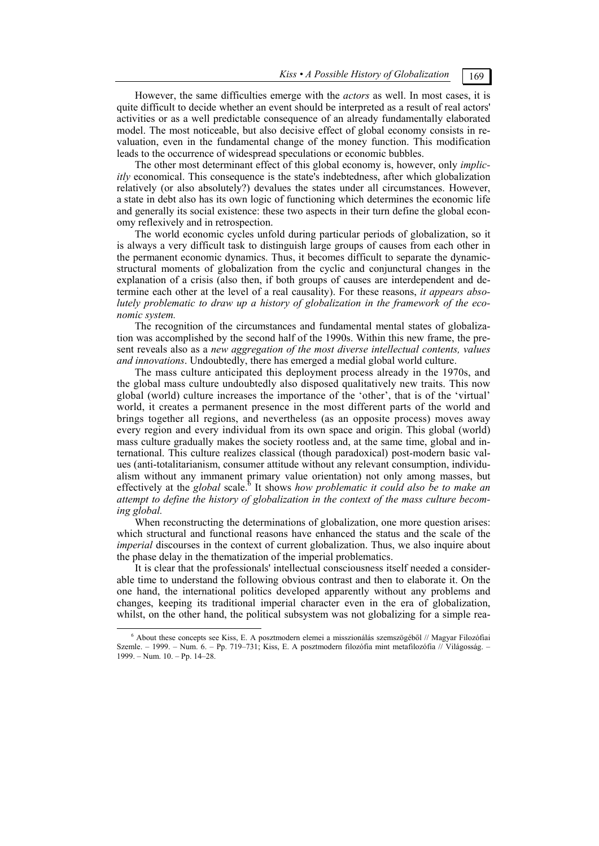However, the same difficulties emerge with the *actors* as well. In most cases, it is quite difficult to decide whether an event should be interpreted as a result of real actors' activities or as a well predictable consequence of an already fundamentally elaborated model. The most noticeable, but also decisive effect of global economy consists in revaluation, even in the fundamental change of the money function. This modification leads to the occurrence of widespread speculations or economic bubbles.

The other most determinant effect of this global economy is, however, only *implicitly* economical. This consequence is the state's indebtedness, after which globalization relatively (or also absolutely?) devalues the states under all circumstances. However, a state in debt also has its own logic of functioning which determines the economic life and generally its social existence: these two aspects in their turn define the global economy reflexively and in retrospection.

The world economic cycles unfold during particular periods of globalization, so it is always a very difficult task to distinguish large groups of causes from each other in the permanent economic dynamics. Thus, it becomes difficult to separate the dynamicstructural moments of globalization from the cyclic and conjunctural changes in the explanation of a crisis (also then, if both groups of causes are interdependent and determine each other at the level of a real causality). For these reasons, *it appears absolutely problematic to draw up a history of globalization in the framework of the economic system.* 

The recognition of the circumstances and fundamental mental states of globalization was accomplished by the second half of the 1990s. Within this new frame, the present reveals also as a *new aggregation of the most diverse intellectual contents, values and innovations*. Undoubtedly, there has emerged a medial global world culture.

The mass culture anticipated this deployment process already in the 1970s, and the global mass culture undoubtedly also disposed qualitatively new traits. This now global (world) culture increases the importance of the 'other', that is of the 'virtual' world, it creates a permanent presence in the most different parts of the world and brings together all regions, and nevertheless (as an opposite process) moves away every region and every individual from its own space and origin. This global (world) mass culture gradually makes the society rootless and, at the same time, global and international. This culture realizes classical (though paradoxical) post-modern basic values (anti-totalitarianism, consumer attitude without any relevant consumption, individualism without any immanent primary value orientation) not only among masses, but effectively at the *global* scale.<sup>6</sup> It shows *how problematic it could also be to make an attempt to define the history of globalization in the context of the mass culture becoming global.* 

When reconstructing the determinations of globalization, one more question arises: which structural and functional reasons have enhanced the status and the scale of the *imperial* discourses in the context of current globalization. Thus, we also inquire about the phase delay in the thematization of the imperial problematics.

It is clear that the professionals' intellectual consciousness itself needed a considerable time to understand the following obvious contrast and then to elaborate it. On the one hand, the international politics developed apparently without any problems and changes, keeping its traditional imperial character even in the era of globalization, whilst, on the other hand, the political subsystem was not globalizing for a simple rea-

 $\overline{\phantom{0}}$  About these concepts see Kiss, E. A posztmodern elemei a misszionálás szemszögéből // Magyar Filozófiai Szemle. – 1999. – Num. 6. – Pp. 719–731; Kiss, E. A posztmodern filozófia mint metafilozófia // Világosság. – 1999. – Num. 10. – Pp. 14–28.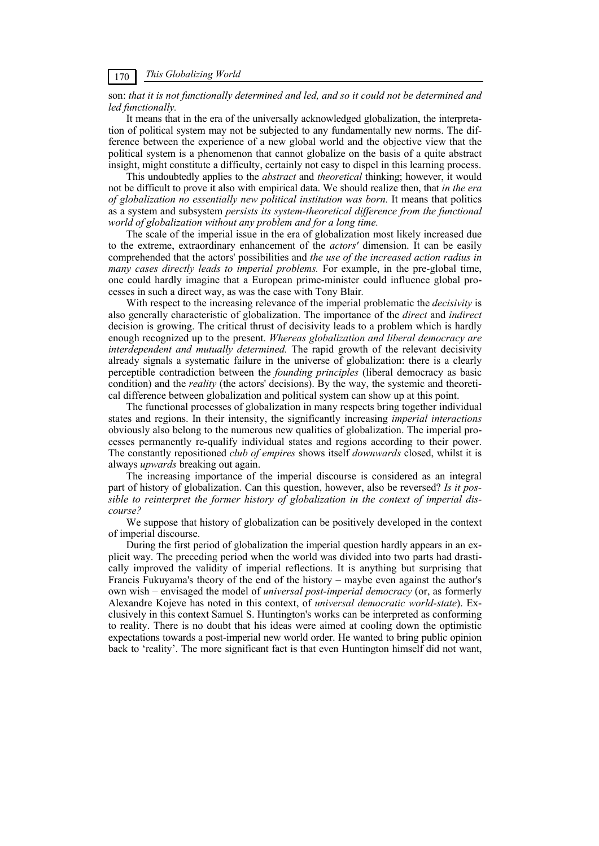## *This Globalizing World* 170

#### son: *that it is not functionally determined and led, and so it could not be determined and led functionally.*

It means that in the era of the universally acknowledged globalization, the interpretation of political system may not be subjected to any fundamentally new norms. The difference between the experience of a new global world and the objective view that the political system is a phenomenon that cannot globalize on the basis of a quite abstract insight, might constitute a difficulty, certainly not easy to dispel in this learning process.

This undoubtedly applies to the *abstract* and *theoretical* thinking; however, it would not be difficult to prove it also with empirical data. We should realize then, that *in the era of globalization no essentially new political institution was born.* It means that politics as a system and subsystem *persists its system-theoretical difference from the functional world of globalization without any problem and for a long time.* 

The scale of the imperial issue in the era of globalization most likely increased due to the extreme, extraordinary enhancement of the *actors'* dimension. It can be easily comprehended that the actors' possibilities and *the use of the increased action radius in many cases directly leads to imperial problems.* For example, in the pre-global time, one could hardly imagine that a European prime-minister could influence global processes in such a direct way, as was the case with Tony Blair*.* 

With respect to the increasing relevance of the imperial problematic the *decisivity* is also generally characteristic of globalization. The importance of the *direct* and *indirect*  decision is growing. The critical thrust of decisivity leads to a problem which is hardly enough recognized up to the present. *Whereas globalization and liberal democracy are interdependent and mutually determined.* The rapid growth of the relevant decisivity already signals a systematic failure in the universe of globalization: there is a clearly perceptible contradiction between the *founding principles* (liberal democracy as basic condition) and the *reality* (the actors' decisions). By the way, the systemic and theoretical difference between globalization and political system can show up at this point.

The functional processes of globalization in many respects bring together individual states and regions. In their intensity, the significantly increasing *imperial interactions*  obviously also belong to the numerous new qualities of globalization. The imperial processes permanently re-qualify individual states and regions according to their power. The constantly repositioned *club of empires* shows itself *downwards* closed, whilst it is always *upwards* breaking out again.

The increasing importance of the imperial discourse is considered as an integral part of history of globalization. Can this question, however, also be reversed? *Is it possible to reinterpret the former history of globalization in the context of imperial discourse?* 

We suppose that history of globalization can be positively developed in the context of imperial discourse.

During the first period of globalization the imperial question hardly appears in an explicit way. The preceding period when the world was divided into two parts had drastically improved the validity of imperial reflections. It is anything but surprising that Francis Fukuyama's theory of the end of the history – maybe even against the author's own wish – envisaged the model of *universal post-imperial democracy* (or, as formerly Alexandre Kojeve has noted in this context, of *universal democratic world-state*). Exclusively in this context Samuel S. Huntington's works can be interpreted as conforming to reality. There is no doubt that his ideas were aimed at cooling down the optimistic expectations towards a post-imperial new world order. He wanted to bring public opinion back to 'reality'. The more significant fact is that even Huntington himself did not want,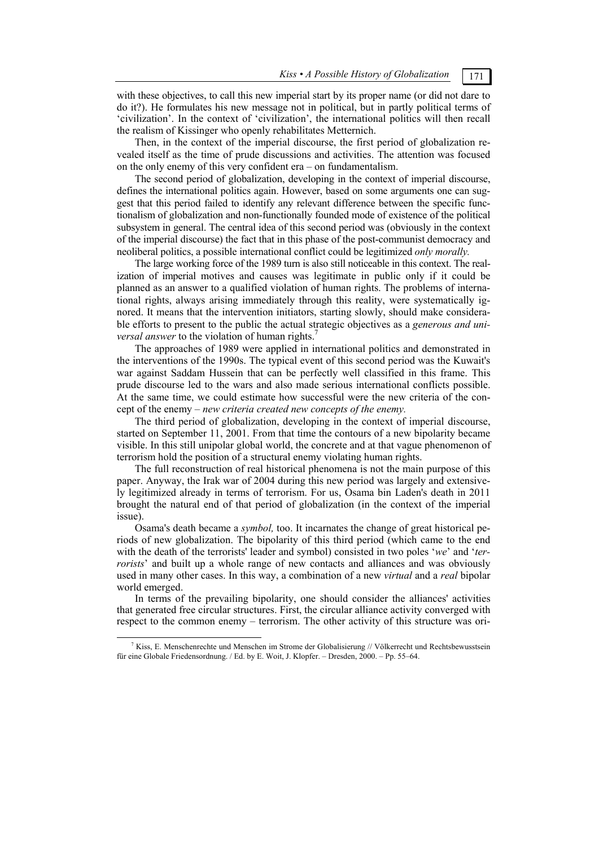with these objectives, to call this new imperial start by its proper name (or did not dare to do it?). He formulates his new message not in political, but in partly political terms of 'civilization'. In the context of 'civilization', the international politics will then recall the realism of Kissinger who openly rehabilitates Metternich.

Then, in the context of the imperial discourse, the first period of globalization revealed itself as the time of prude discussions and activities. The attention was focused on the only enemy of this very confident era – on fundamentalism.

The second period of globalization, developing in the context of imperial discourse, defines the international politics again. However, based on some arguments one can suggest that this period failed to identify any relevant difference between the specific functionalism of globalization and non-functionally founded mode of existence of the political subsystem in general. The central idea of this second period was (obviously in the context of the imperial discourse) the fact that in this phase of the post-communist democracy and neoliberal politics, a possible international conflict could be legitimized *only morally.* 

The large working force of the 1989 turn is also still noticeable in this context. The realization of imperial motives and causes was legitimate in public only if it could be planned as an answer to a qualified violation of human rights. The problems of international rights, always arising immediately through this reality, were systematically ignored. It means that the intervention initiators, starting slowly, should make considerable efforts to present to the public the actual strategic objectives as a *generous and universal answer* to the violation of human rights.<sup>7</sup>

The approaches of 1989 were applied in international politics and demonstrated in the interventions of the 1990s. The typical event of this second period was the Kuwait's war against Saddam Hussein that can be perfectly well classified in this frame. This prude discourse led to the wars and also made serious international conflicts possible. At the same time, we could estimate how successful were the new criteria of the concept of the enemy – *new criteria created new concepts of the enemy.* 

The third period of globalization, developing in the context of imperial discourse, started on September 11, 2001. From that time the contours of a new bipolarity became visible. In this still unipolar global world, the concrete and at that vague phenomenon of terrorism hold the position of a structural enemy violating human rights.

The full reconstruction of real historical phenomena is not the main purpose of this paper. Anyway, the Irak war of 2004 during this new period was largely and extensively legitimized already in terms of terrorism. For us, Osama bin Laden's death in 2011 brought the natural end of that period of globalization (in the context of the imperial issue).

Osama's death became a *symbol,* too. It incarnates the change of great historical periods of new globalization. The bipolarity of this third period (which came to the end with the death of the terrorists' leader and symbol) consisted in two poles '*we*' and '*terrorists*' and built up a whole range of new contacts and alliances and was obviously used in many other cases. In this way, a combination of a new *virtual* and a *real* bipolar world emerged.

In terms of the prevailing bipolarity, one should consider the alliances' activities that generated free circular structures. First, the circular alliance activity converged with respect to the common enemy – terrorism. The other activity of this structure was ori-

 <sup>7</sup> Kiss, E. Menschenrechte und Menschen im Strome der Globalisierung // Völkerrecht und Rechtsbewusstsein für eine Globale Friedensordnung. / Ed. by E. Woit, J. Klopfer. – Dresden, 2000. – Pp. 55–64.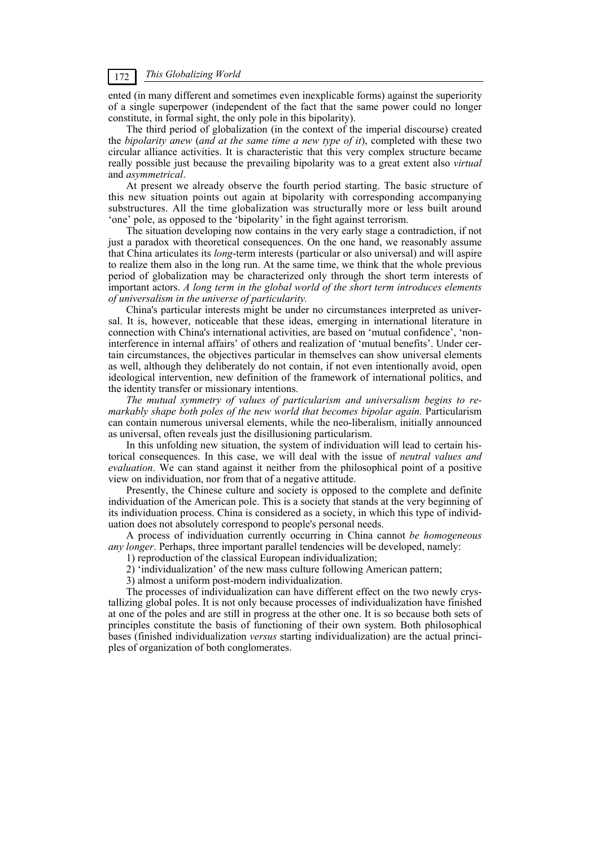ented (in many different and sometimes even inexplicable forms) against the superiority of a single superpower (independent of the fact that the same power could no longer constitute, in formal sight, the only pole in this bipolarity).

The third period of globalization (in the context of the imperial discourse) created the *bipolarity anew* (*and at the same time a new type of it*), completed with these two circular alliance activities. It is characteristic that this very complex structure became really possible just because the prevailing bipolarity was to a great extent also *virtual*  and *asymmetrical*.

At present we already observe the fourth period starting. The basic structure of this new situation points out again at bipolarity with corresponding accompanying substructures. All the time globalization was structurally more or less built around 'one' pole, as opposed to the 'bipolarity' in the fight against terrorism.

The situation developing now contains in the very early stage a contradiction, if not just a paradox with theoretical consequences. On the one hand, we reasonably assume that China articulates its *long*-term interests (particular or also universal) and will aspire to realize them also in the long run. At the same time, we think that the whole previous period of globalization may be characterized only through the short term interests of important actors. *A long term in the global world of the short term introduces elements of universalism in the universe of particularity.* 

China's particular interests might be under no circumstances interpreted as universal. It is, however, noticeable that these ideas, emerging in international literature in connection with China's international activities, are based on 'mutual confidence', 'noninterference in internal affairs' of others and realization of 'mutual benefits'. Under certain circumstances, the objectives particular in themselves can show universal elements as well, although they deliberately do not contain, if not even intentionally avoid, open ideological intervention, new definition of the framework of international politics, and the identity transfer or missionary intentions.

*The mutual symmetry of values of particularism and universalism begins to remarkably shape both poles of the new world that becomes bipolar again.* Particularism can contain numerous universal elements, while the neo-liberalism, initially announced as universal, often reveals just the disillusioning particularism.

In this unfolding new situation, the system of individuation will lead to certain historical consequences. In this case, we will deal with the issue of *neutral values and evaluation*. We can stand against it neither from the philosophical point of a positive view on individuation, nor from that of a negative attitude.

Presently, the Chinese culture and society is opposed to the complete and definite individuation of the American pole. This is a society that stands at the very beginning of its individuation process. China is considered as a society, in which this type of individuation does not absolutely correspond to people's personal needs.

A process of individuation currently occurring in China cannot *be homogeneous any longer*. Perhaps, three important parallel tendencies will be developed, namely:

1) reproduction of the classical European individualization;

2) 'individualization' of the new mass culture following American pattern;

3) almost a uniform post-modern individualization.

The processes of individualization can have different effect on the two newly crystallizing global poles. It is not only because processes of individualization have finished at one of the poles and are still in progress at the other one. It is so because both sets of principles constitute the basis of functioning of their own system. Both philosophical bases (finished individualization *versus* starting individualization) are the actual principles of organization of both conglomerates.